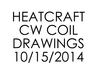## HEATCRAFT CW COIL DRAWINGS10/15/2014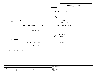